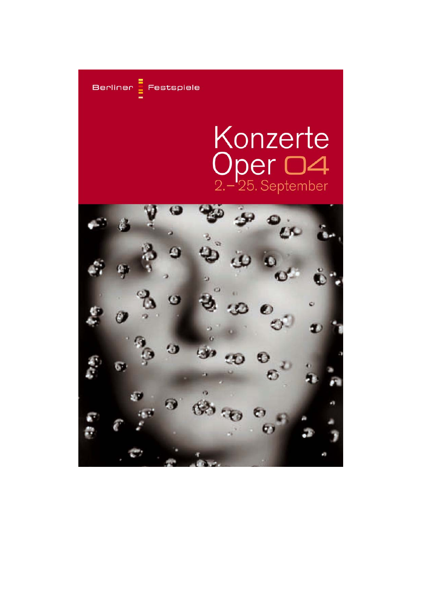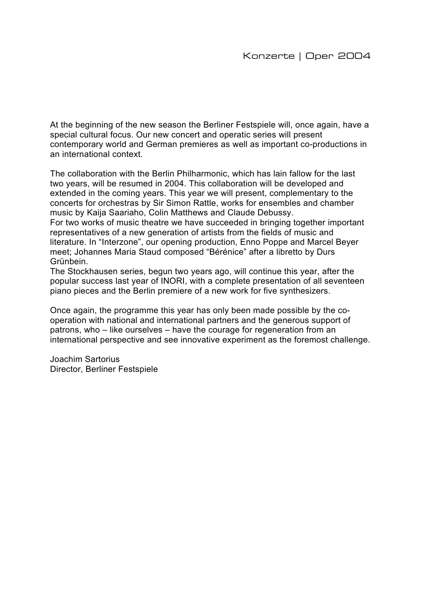At the beginning of the new season the Berliner Festspiele will, once again, have a special cultural focus. Our new concert and operatic series will present contemporary world and German premieres as well as important co-productions in an international context.

The collaboration with the Berlin Philharmonic, which has lain fallow for the last two years, will be resumed in 2004. This collaboration will be developed and extended in the coming years. This year we will present, complementary to the concerts for orchestras by Sir Simon Rattle, works for ensembles and chamber music by Kaija Saariaho, Colin Matthews and Claude Debussy.

For two works of music theatre we have succeeded in bringing together important representatives of a new generation of artists from the fields of music and literature. In "Interzone", our opening production, Enno Poppe and Marcel Beyer meet; Johannes Maria Staud composed "Bérénice" after a libretto by Durs Grünbein.

The Stockhausen series, begun two years ago, will continue this year, after the popular success last year of INORI, with a complete presentation of all seventeen piano pieces and the Berlin premiere of a new work for five synthesizers.

Once again, the programme this year has only been made possible by the cooperation with national and international partners and the generous support of patrons, who – like ourselves – have the courage for regeneration from an international perspective and see innovative experiment as the foremost challenge.

Joachim Sartorius Director, Berliner Festspiele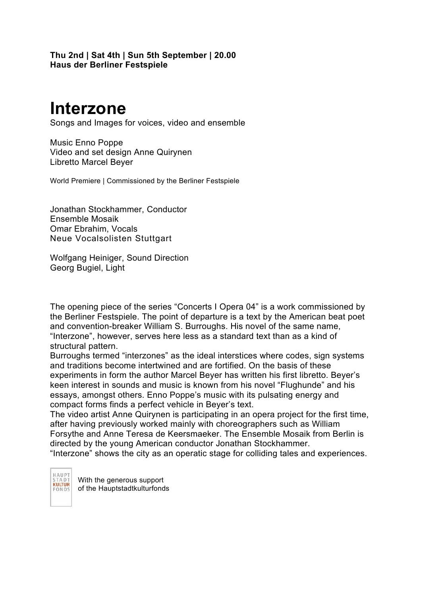**Thu 2nd | Sat 4th | Sun 5th September | 20.00 Haus der Berliner Festspiele** 

## **Interzone**

Songs and Images for voices, video and ensemble

Music Enno Poppe Video and set design Anne Quirynen Libretto Marcel Beyer

World Premiere | Commissioned by the Berliner Festspiele

Jonathan Stockhammer, Conductor Ensemble Mosaik Omar Ebrahim, Vocals Neue Vocalsolisten Stuttgart

Wolfgang Heiniger, Sound Direction Georg Bugiel, Light

The opening piece of the series "Concerts I Opera 04" is a work commissioned by the Berliner Festspiele. The point of departure is a text by the American beat poet and convention-breaker William S. Burroughs. His novel of the same name, "Interzone", however, serves here less as a standard text than as a kind of structural pattern.

Burroughs termed "interzones" as the ideal interstices where codes, sign systems and traditions become intertwined and are fortified. On the basis of these experiments in form the author Marcel Beyer has written his first libretto. Beyer's keen interest in sounds and music is known from his novel "Flughunde" and his essays, amongst others. Enno Poppe's music with its pulsating energy and compact forms finds a perfect vehicle in Beyer's text.

The video artist Anne Quirynen is participating in an opera project for the first time, after having previously worked mainly with choreographers such as William Forsythe and Anne Teresa de Keersmaeker. The Ensemble Mosaik from Berlin is directed by the young American conductor Jonathan Stockhammer.

"Interzone" shows the city as an operatic stage for colliding tales and experiences.

HAUP1 STADT FONDS

With the generous support of the Hauptstadtkulturfonds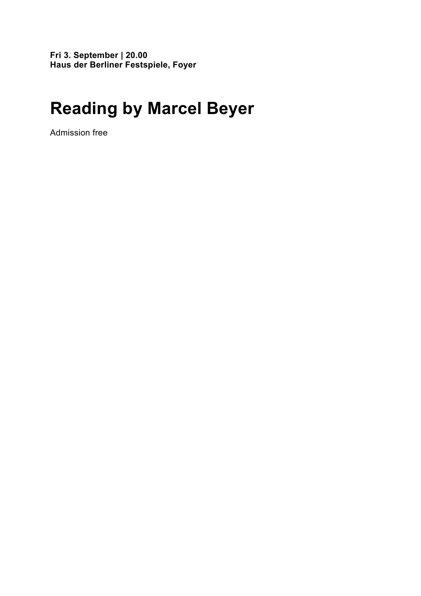**Fri 3. September | 20.00 Haus der Berliner Festspiele, Foyer** 

## **Reading by Marcel Beyer**

Admission free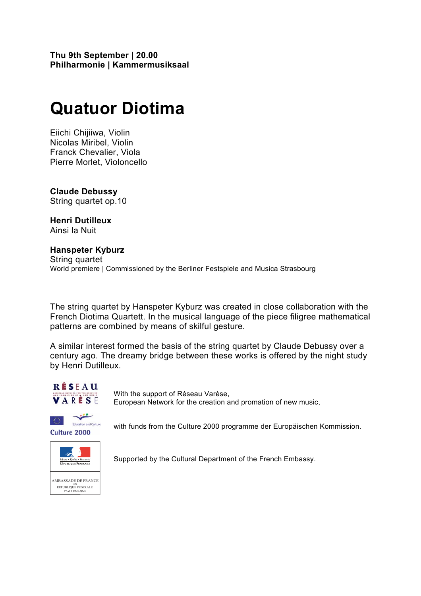**Thu 9th September | 20.00 Philharmonie | Kammermusiksaal** 

## **Quatuor Diotima**

Eiichi Chijiiwa, Violin Nicolas Miribel, Violin Franck Chevalier, Viola Pierre Morlet, Violoncello

**Claude Debussy** String quartet op.10

**Henri Dutilleux** Ainsi la Nuit

**Hanspeter Kyburz** String quartet World premiere | Commissioned by the Berliner Festspiele and Musica Strasbourg

The string quartet by Hanspeter Kyburz was created in close collaboration with the French Diotima Quartett. In the musical language of the piece filigree mathematical patterns are combined by means of skilful gesture.

A similar interest formed the basis of the string quartet by Claude Debussy over a century ago. The dreamy bridge between these works is offered by the night study by Henri Dutilleux.



With the support of Réseau Varèse, European Network for the creation and promation of new music,



with funds from the Culture 2000 programme der Europäischen Kommission.



Supported by the Cultural Department of the French Embassy.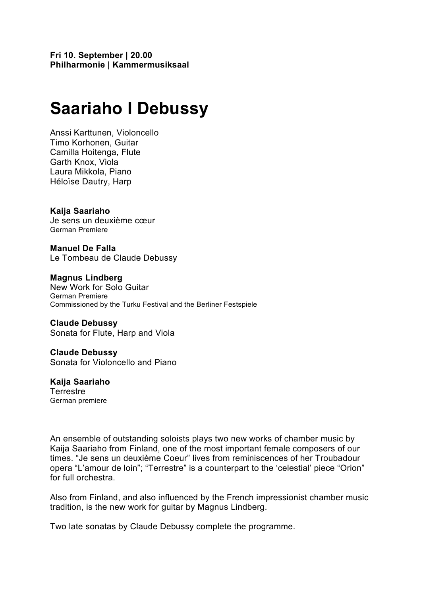# **Saariaho I Debussy**

Anssi Karttunen, Violoncello Timo Korhonen, Guitar Camilla Hoitenga, Flute Garth Knox, Viola Laura Mikkola, Piano Héloïse Dautry, Harp

**Kaija Saariaho**  Je sens un deuxième cœur German Premiere

**Manuel De Falla**  Le Tombeau de Claude Debussy

**Magnus Lindberg**  New Work for Solo Guitar German Premiere Commissioned by the Turku Festival and the Berliner Festspiele

**Claude Debussy**  Sonata for Flute, Harp and Viola

**Claude Debussy**  Sonata for Violoncello and Piano

**Kaija Saariaho Terrestre** German premiere

An ensemble of outstanding soloists plays two new works of chamber music by Kaija Saariaho from Finland, one of the most important female composers of our times. "Je sens un deuxième Coeur" lives from reminiscences of her Troubadour opera "L'amour de loin"; "Terrestre" is a counterpart to the 'celestial' piece "Orion" for full orchestra.

Also from Finland, and also influenced by the French impressionist chamber music tradition, is the new work for guitar by Magnus Lindberg.

Two late sonatas by Claude Debussy complete the programme.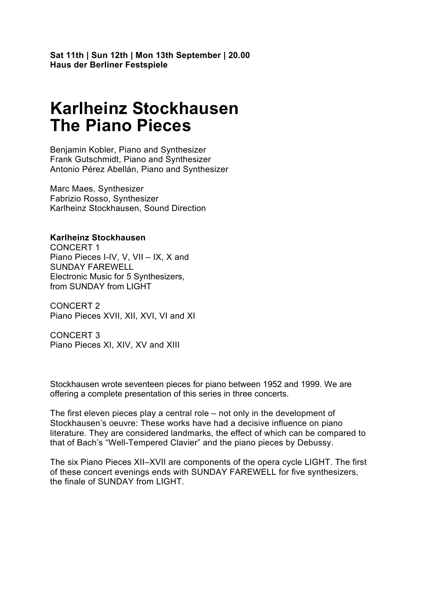**Sat 11th | Sun 12th | Mon 13th September | 20.00 Haus der Berliner Festspiele** 

### **Karlheinz Stockhausen The Piano Pieces**

Benjamin Kobler, Piano and Synthesizer Frank Gutschmidt, Piano and Synthesizer Antonio Pérez Abellán, Piano and Synthesizer

Marc Maes, Synthesizer Fabrizio Rosso, Synthesizer Karlheinz Stockhausen, Sound Direction

#### **Karlheinz Stockhausen**

CONCERT 1 Piano Pieces I-IV, V, VII – IX, X and SUNDAY FAREWELL Electronic Music for 5 Synthesizers, from SUNDAY from LIGHT

CONCERT 2 Piano Pieces XVII, XII, XVI, VI and XI

CONCERT 3 Piano Pieces XI, XIV, XV and XIII

Stockhausen wrote seventeen pieces for piano between 1952 and 1999. We are offering a complete presentation of this series in three concerts.

The first eleven pieces play a central role – not only in the development of Stockhausen's oeuvre: These works have had a decisive influence on piano literature. They are considered landmarks, the effect of which can be compared to that of Bach's "Well-Tempered Clavier" and the piano pieces by Debussy.

The six Piano Pieces XII–XVII are components of the opera cycle LIGHT. The first of these concert evenings ends with SUNDAY FAREWELL for five synthesizers, the finale of SUNDAY from LIGHT.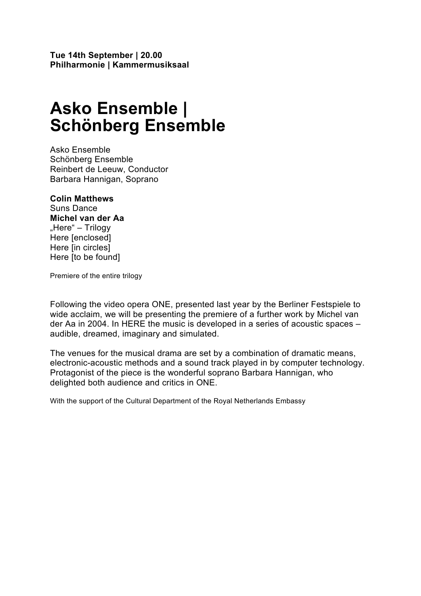## **Asko Ensemble | Schönberg Ensemble**

Asko Ensemble Schönberg Ensemble Reinbert de Leeuw, Conductor Barbara Hannigan, Soprano

#### **Colin Matthews**  Suns Dance

**Michel van der Aa**  "Here" – Trilogy Here [enclosed] Here [in circles] Here [to be found]

Premiere of the entire trilogy

Following the video opera ONE, presented last year by the Berliner Festspiele to wide acclaim, we will be presenting the premiere of a further work by Michel van der Aa in 2004. In HERE the music is developed in a series of acoustic spaces – audible, dreamed, imaginary and simulated.

The venues for the musical drama are set by a combination of dramatic means, electronic-acoustic methods and a sound track played in by computer technology. Protagonist of the piece is the wonderful soprano Barbara Hannigan, who delighted both audience and critics in ONE.

With the support of the Cultural Department of the Royal Netherlands Embassy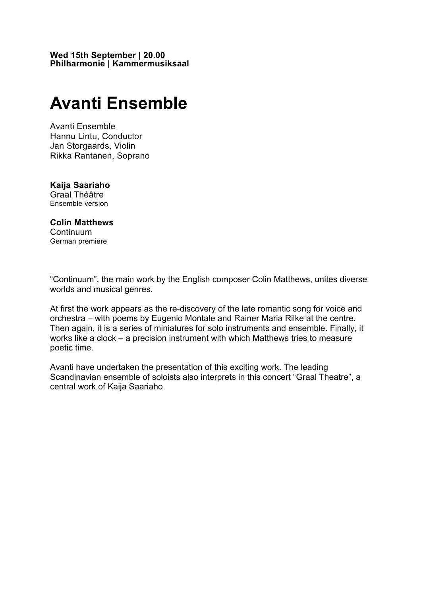**Wed 15th September | 20.00 Philharmonie | Kammermusiksaal** 

### **Avanti Ensemble**

Avanti Ensemble Hannu Lintu, Conductor Jan Storgaards, Violin Rikka Rantanen, Soprano

#### **Kaija Saariaho**  Graal Théâtre

Ensemble version

#### **Colin Matthews**  Continuum

German premiere

"Continuum", the main work by the English composer Colin Matthews, unites diverse worlds and musical genres.

At first the work appears as the re-discovery of the late romantic song for voice and orchestra – with poems by Eugenio Montale and Rainer Maria Rilke at the centre. Then again, it is a series of miniatures for solo instruments and ensemble. Finally, it works like a clock – a precision instrument with which Matthews tries to measure poetic time.

Avanti have undertaken the presentation of this exciting work. The leading Scandinavian ensemble of soloists also interprets in this concert "Graal Theatre", a central work of Kaija Saariaho.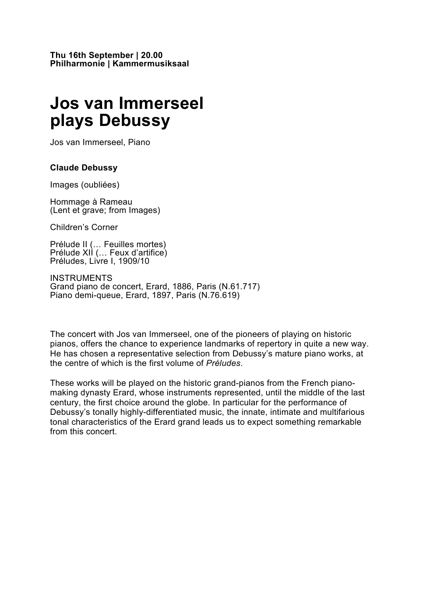### **Jos van Immerseel plays Debussy**

Jos van Immerseel, Piano

#### **Claude Debussy**

Images (oubliées)

Hommage à Rameau (Lent et grave; from Images)

Children's Corner

Prélude II (… Feuilles mortes) Prélude XII (… Feux d'artifice) Préludes, Livre I, 1909/10

INSTRUMENTS Grand piano de concert, Erard, 1886, Paris (N.61.717) Piano demi-queue, Erard, 1897, Paris (N.76.619)

The concert with Jos van Immerseel, one of the pioneers of playing on historic pianos, offers the chance to experience landmarks of repertory in quite a new way. He has chosen a representative selection from Debussy's mature piano works, at the centre of which is the first volume of *Préludes*.

These works will be played on the historic grand-pianos from the French pianomaking dynasty Erard, whose instruments represented, until the middle of the last century, the first choice around the globe. In particular for the performance of Debussy's tonally highly-differentiated music, the innate, intimate and multifarious tonal characteristics of the Erard grand leads us to expect something remarkable from this concert.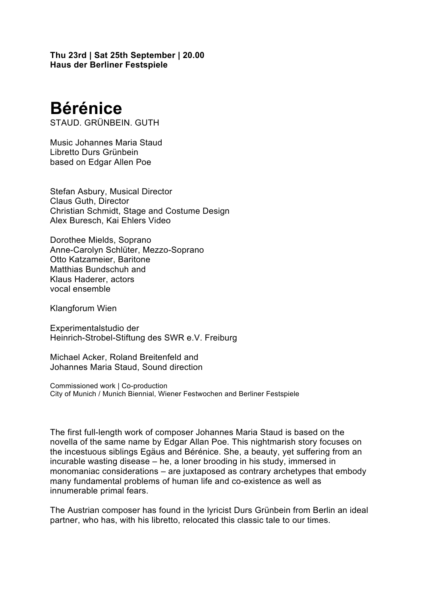**Thu 23rd | Sat 25th September | 20.00 Haus der Berliner Festspiele** 

# **Bérénice**

STAUD. GRÜNBEIN. GUTH

Music Johannes Maria Staud Libretto Durs Grünbein based on Edgar Allen Poe

Stefan Asbury, Musical Director Claus Guth, Director Christian Schmidt, Stage and Costume Design Alex Buresch, Kai Ehlers Video

Dorothee Mields, Soprano Anne-Carolyn Schlüter, Mezzo-Soprano Otto Katzameier, Baritone Matthias Bundschuh and Klaus Haderer, actors vocal ensemble

Klangforum Wien

Experimentalstudio der Heinrich-Strobel-Stiftung des SWR e.V. Freiburg

Michael Acker, Roland Breitenfeld and Johannes Maria Staud, Sound direction

Commissioned work | Co-production City of Munich / Munich Biennial, Wiener Festwochen and Berliner Festspiele

The first full-length work of composer Johannes Maria Staud is based on the novella of the same name by Edgar Allan Poe. This nightmarish story focuses on the incestuous siblings Egäus and Bérénice. She, a beauty, yet suffering from an incurable wasting disease – he, a loner brooding in his study, immersed in monomaniac considerations – are juxtaposed as contrary archetypes that embody many fundamental problems of human life and co-existence as well as innumerable primal fears.

The Austrian composer has found in the lyricist Durs Grünbein from Berlin an ideal partner, who has, with his libretto, relocated this classic tale to our times.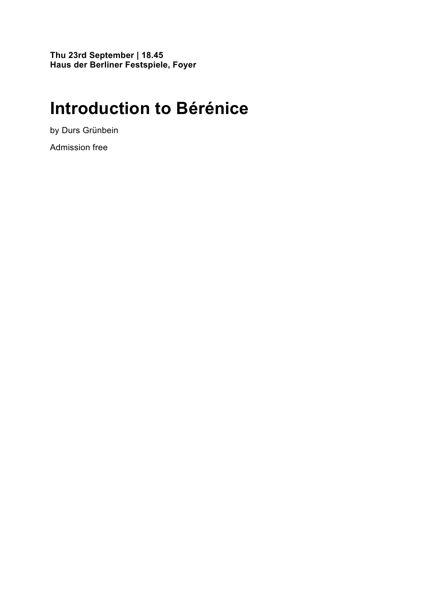**Thu 23rd September | 18.45 Haus der Berliner Festspiele, Foyer** 

## **Introduction to Bérénice**

by Durs Grünbein

Admission free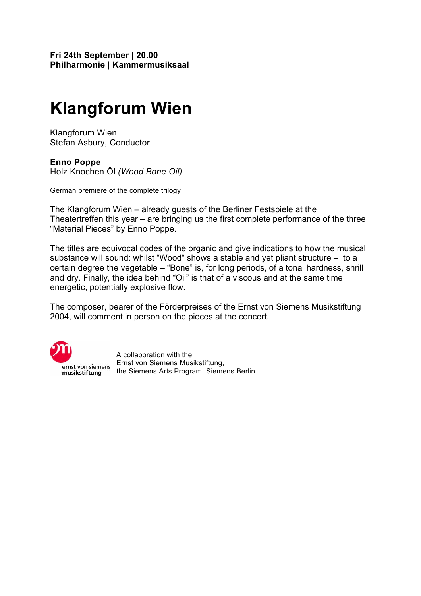**Fri 24th September | 20.00 Philharmonie | Kammermusiksaal** 

# **Klangforum Wien**

Klangforum Wien Stefan Asbury, Conductor

#### **Enno Poppe**

Holz Knochen Öl *(Wood Bone Oil)*

German premiere of the complete trilogy

The Klangforum Wien – already guests of the Berliner Festspiele at the Theatertreffen this year – are bringing us the first complete performance of the three "Material Pieces" by Enno Poppe.

The titles are equivocal codes of the organic and give indications to how the musical substance will sound: whilst "Wood" shows a stable and yet pliant structure – to a certain degree the vegetable – "Bone" is, for long periods, of a tonal hardness, shrill and dry. Finally, the idea behind "Oil" is that of a viscous and at the same time energetic, potentially explosive flow.

The composer, bearer of the Förderpreises of the Ernst von Siemens Musikstiftung 2004, will comment in person on the pieces at the concert.



A collaboration with the Ernst von Siemens Musikstiftung, the Siemens Arts Program, Siemens Berlin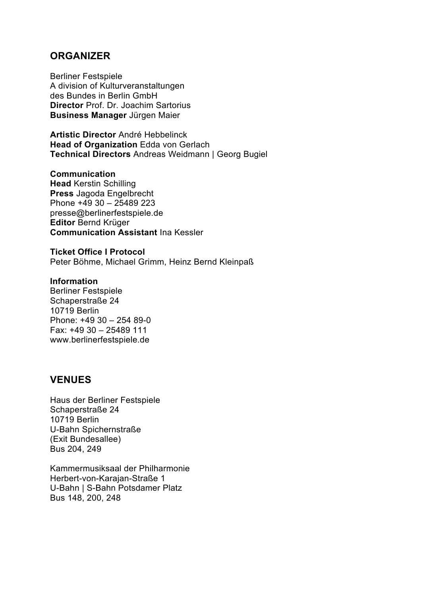### **ORGANIZER**

Berliner Festspiele A division of Kulturveranstaltungen des Bundes in Berlin GmbH **Director** Prof. Dr. Joachim Sartorius **Business Manager** Jürgen Maier

**Artistic Director** André Hebbelinck **Head of Organization** Edda von Gerlach **Technical Directors** Andreas Weidmann | Georg Bugiel

**Communication Head** Kerstin Schilling **Press** Jagoda Engelbrecht Phone +49 30 – 25489 223 presse@berlinerfestspiele.de **Editor** Bernd Krüger **Communication Assistant** Ina Kessler

**Ticket Office I Protocol**  Peter Böhme, Michael Grimm, Heinz Bernd Kleinpaß

#### **Information**

Berliner Festspiele Schaperstraße 24 10719 Berlin Phone: +49 30 – 254 89-0 Fax: +49 30 – 25489 111 www.berlinerfestspiele.de

### **VENUES**

Haus der Berliner Festspiele Schaperstraße 24 10719 Berlin U-Bahn Spichernstraße (Exit Bundesallee) Bus 204, 249

Kammermusiksaal der Philharmonie Herbert-von-Karajan-Straße 1 U-Bahn | S-Bahn Potsdamer Platz Bus 148, 200, 248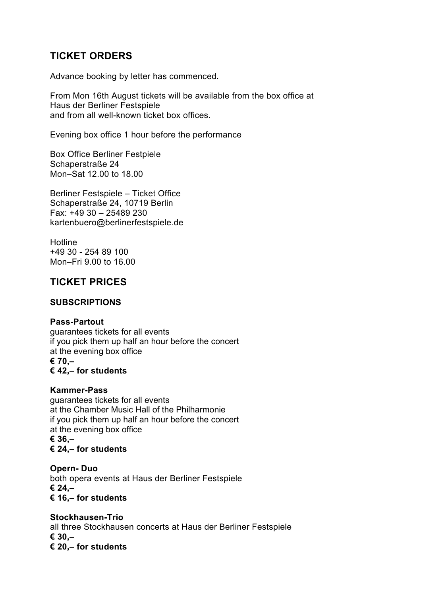### **TICKET ORDERS**

Advance booking by letter has commenced.

From Mon 16th August tickets will be available from the box office at Haus der Berliner Festspiele and from all well-known ticket box offices.

Evening box office 1 hour before the performance

Box Office Berliner Festpiele Schaperstraße 24 Mon–Sat 12.00 to 18.00

Berliner Festspiele – Ticket Office Schaperstraße 24, 10719 Berlin Fax: +49 30 – 25489 230 kartenbuero@berlinerfestspiele.de

**Hotline** +49 30 - 254 89 100 Mon–Fri 9.00 to 16.00

### **TICKET PRICES**

#### **SUBSCRIPTIONS**

#### **Pass-Partout**

guarantees tickets for all events if you pick them up half an hour before the concert at the evening box office **€ 70,– € 42,– for students**

#### **Kammer-Pass**

guarantees tickets for all events at the Chamber Music Hall of the Philharmonie if you pick them up half an hour before the concert at the evening box office **€ 36,– € 24,– for students**

**Opern- Duo** both opera events at Haus der Berliner Festspiele **€ 24,– € 16,– for students**

**Stockhausen-Trio**  all three Stockhausen concerts at Haus der Berliner Festspiele **€ 30,– € 20,– for students**